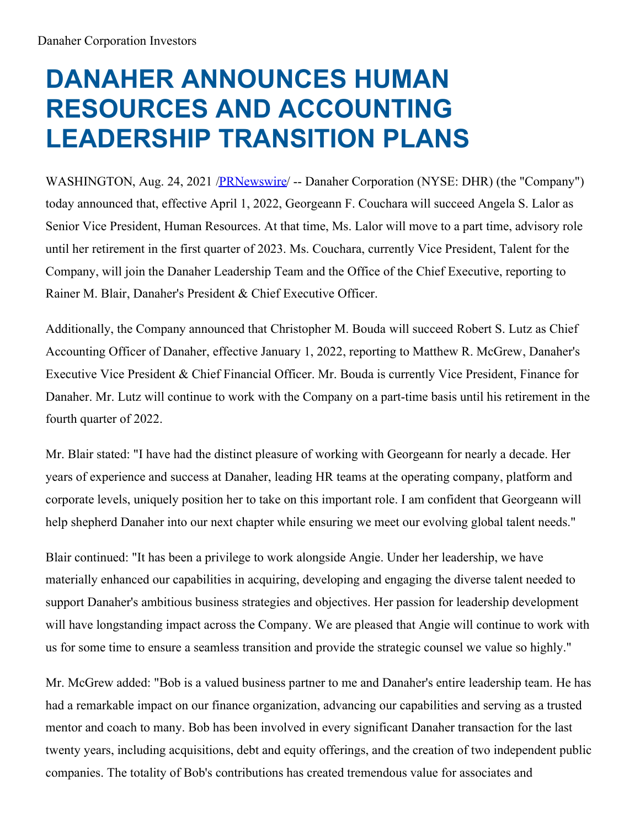## **DANAHER ANNOUNCES HUMAN RESOURCES AND ACCOUNTING LEADERSHIP TRANSITION PLANS**

WASHINGTON, Aug. 24, 2021 [/PRNewswire](http://www.prnewswire.com/)/ -- Danaher Corporation (NYSE: DHR) (the "Company") today announced that, effective April 1, 2022, Georgeann F. Couchara will succeed Angela S. Lalor as Senior Vice President, Human Resources. At that time, Ms. Lalor will move to a part time, advisory role until her retirement in the first quarter of 2023. Ms. Couchara, currently Vice President, Talent for the Company, will join the Danaher Leadership Team and the Office of the Chief Executive, reporting to Rainer M. Blair, Danaher's President & Chief Executive Officer.

Additionally, the Company announced that Christopher M. Bouda will succeed Robert S. Lutz as Chief Accounting Officer of Danaher, effective January 1, 2022, reporting to Matthew R. McGrew, Danaher's Executive Vice President & Chief Financial Officer. Mr. Bouda is currently Vice President, Finance for Danaher. Mr. Lutz will continue to work with the Company on a part-time basis until his retirement in the fourth quarter of 2022.

Mr. Blair stated: "I have had the distinct pleasure of working with Georgeann for nearly a decade. Her years of experience and success at Danaher, leading HR teams at the operating company, platform and corporate levels, uniquely position her to take on this important role. I am confident that Georgeann will help shepherd Danaher into our next chapter while ensuring we meet our evolving global talent needs."

Blair continued: "It has been a privilege to work alongside Angie. Under her leadership, we have materially enhanced our capabilities in acquiring, developing and engaging the diverse talent needed to support Danaher's ambitious business strategies and objectives. Her passion for leadership development will have longstanding impact across the Company. We are pleased that Angie will continue to work with us for some time to ensure a seamless transition and provide the strategic counsel we value so highly."

Mr. McGrew added: "Bob is a valued business partner to me and Danaher's entire leadership team. He has had a remarkable impact on our finance organization, advancing our capabilities and serving as a trusted mentor and coach to many. Bob has been involved in every significant Danaher transaction for the last twenty years, including acquisitions, debt and equity offerings, and the creation of two independent public companies. The totality of Bob's contributions has created tremendous value for associates and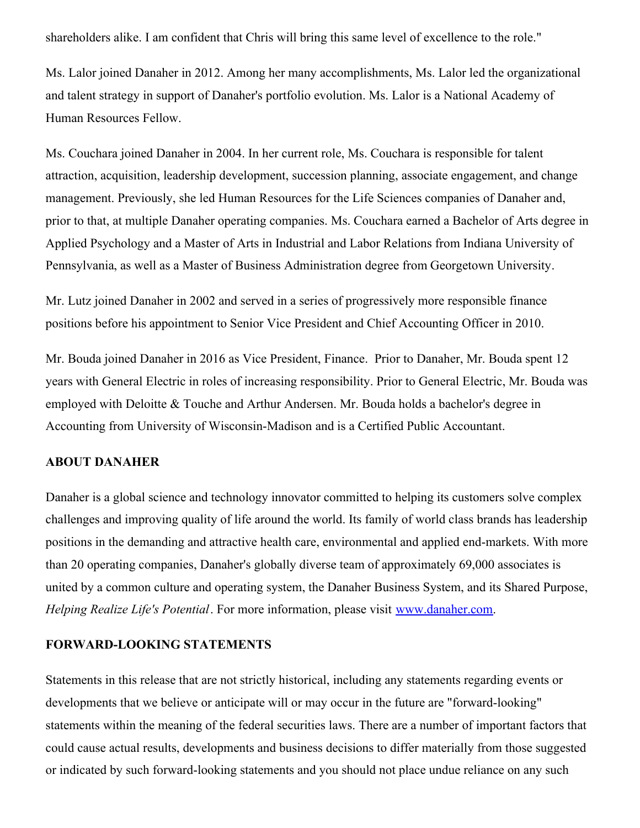shareholders alike. I am confident that Chris will bring this same level of excellence to the role."

Ms. Lalor joined Danaher in 2012. Among her many accomplishments, Ms. Lalor led the organizational and talent strategy in support of Danaher's portfolio evolution. Ms. Lalor is a National Academy of Human Resources Fellow.

Ms. Couchara joined Danaher in 2004. In her current role, Ms. Couchara is responsible for talent attraction, acquisition, leadership development, succession planning, associate engagement, and change management. Previously, she led Human Resources for the Life Sciences companies of Danaher and, prior to that, at multiple Danaher operating companies. Ms. Couchara earned a Bachelor of Arts degree in Applied Psychology and a Master of Arts in Industrial and Labor Relations from Indiana University of Pennsylvania, as well as a Master of Business Administration degree from Georgetown University.

Mr. Lutz joined Danaher in 2002 and served in a series of progressively more responsible finance positions before his appointment to Senior Vice President and Chief Accounting Officer in 2010.

Mr. Bouda joined Danaher in 2016 as Vice President, Finance. Prior to Danaher, Mr. Bouda spent 12 years with General Electric in roles of increasing responsibility. Prior to General Electric, Mr. Bouda was employed with Deloitte & Touche and Arthur Andersen. Mr. Bouda holds a bachelor's degree in Accounting from University of Wisconsin-Madison and is a Certified Public Accountant.

## **ABOUT DANAHER**

Danaher is a global science and technology innovator committed to helping its customers solve complex challenges and improving quality of life around the world. Its family of world class brands has leadership positions in the demanding and attractive health care, environmental and applied end-markets. With more than 20 operating companies, Danaher's globally diverse team of approximately 69,000 associates is united by a common culture and operating system, the Danaher Business System, and its Shared Purpose, *Helping Realize Life's Potential*. For more information, please visit [www.danaher.com](http://www.danaher.com).

## **FORWARD-LOOKING STATEMENTS**

Statements in this release that are not strictly historical, including any statements regarding events or developments that we believe or anticipate will or may occur in the future are "forward-looking" statements within the meaning of the federal securities laws. There are a number of important factors that could cause actual results, developments and business decisions to differ materially from those suggested or indicated by such forward-looking statements and you should not place undue reliance on any such